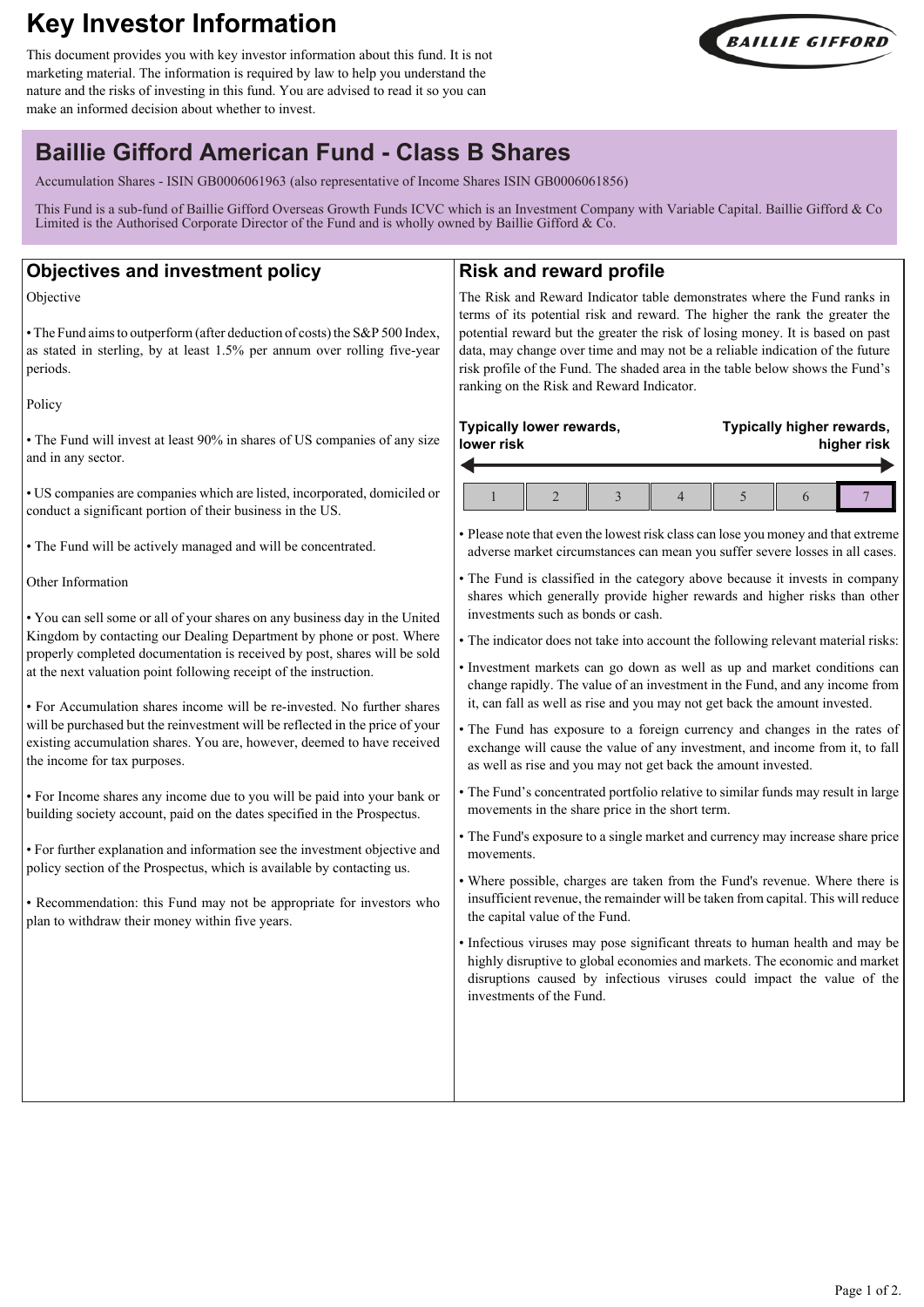# **Key Investor Information**

This document provides you with key investor information about this fund. It is not marketing material. The information is required by law to help you understand the nature and the risks of investing in this fund. You are advised to read it so you can make an informed decision about whether to invest.



# **Baillie Gifford American Fund - Class B Shares**

Accumulation Shares - ISIN GB0006061963 (also representative of Income Shares ISIN GB0006061856)

This Fund is a sub-fund of Baillie Gifford Overseas Growth Funds ICVC which is an Investment Company with Variable Capital. Baillie Gifford & Co Limited is the Authorised Corporate Director of the Fund and is wholly owned by Baillie Gifford & Co.

| <b>Objectives and investment policy</b>                                                                                                                                                                                                                                                                                                                                                                                                                                                                                                                                                                                                                                                                                                                                                                                                                                                                                                                                                                                 | <b>Risk and reward profile</b>                                                                                                                                                                                                                                                                                                                                                                                                                                                                                                                                                                                                                                                                                                                                                                                                                                                                                                                                                                                                                                                                                                                                                                                                                                                                                  |                                          |  |
|-------------------------------------------------------------------------------------------------------------------------------------------------------------------------------------------------------------------------------------------------------------------------------------------------------------------------------------------------------------------------------------------------------------------------------------------------------------------------------------------------------------------------------------------------------------------------------------------------------------------------------------------------------------------------------------------------------------------------------------------------------------------------------------------------------------------------------------------------------------------------------------------------------------------------------------------------------------------------------------------------------------------------|-----------------------------------------------------------------------------------------------------------------------------------------------------------------------------------------------------------------------------------------------------------------------------------------------------------------------------------------------------------------------------------------------------------------------------------------------------------------------------------------------------------------------------------------------------------------------------------------------------------------------------------------------------------------------------------------------------------------------------------------------------------------------------------------------------------------------------------------------------------------------------------------------------------------------------------------------------------------------------------------------------------------------------------------------------------------------------------------------------------------------------------------------------------------------------------------------------------------------------------------------------------------------------------------------------------------|------------------------------------------|--|
| Objective<br>• The Fund aims to outperform (after deduction of costs) the S&P 500 Index,<br>as stated in sterling, by at least 1.5% per annum over rolling five-year<br>periods.                                                                                                                                                                                                                                                                                                                                                                                                                                                                                                                                                                                                                                                                                                                                                                                                                                        | The Risk and Reward Indicator table demonstrates where the Fund ranks in<br>terms of its potential risk and reward. The higher the rank the greater the<br>potential reward but the greater the risk of losing money. It is based on past<br>data, may change over time and may not be a reliable indication of the future<br>risk profile of the Fund. The shaded area in the table below shows the Fund's<br>ranking on the Risk and Reward Indicator.                                                                                                                                                                                                                                                                                                                                                                                                                                                                                                                                                                                                                                                                                                                                                                                                                                                        |                                          |  |
| Policy                                                                                                                                                                                                                                                                                                                                                                                                                                                                                                                                                                                                                                                                                                                                                                                                                                                                                                                                                                                                                  |                                                                                                                                                                                                                                                                                                                                                                                                                                                                                                                                                                                                                                                                                                                                                                                                                                                                                                                                                                                                                                                                                                                                                                                                                                                                                                                 |                                          |  |
| • The Fund will invest at least 90% in shares of US companies of any size<br>and in any sector.                                                                                                                                                                                                                                                                                                                                                                                                                                                                                                                                                                                                                                                                                                                                                                                                                                                                                                                         | Typically lower rewards,<br>lower risk                                                                                                                                                                                                                                                                                                                                                                                                                                                                                                                                                                                                                                                                                                                                                                                                                                                                                                                                                                                                                                                                                                                                                                                                                                                                          | Typically higher rewards,<br>higher risk |  |
| • US companies are companies which are listed, incorporated, domiciled or<br>conduct a significant portion of their business in the US.                                                                                                                                                                                                                                                                                                                                                                                                                                                                                                                                                                                                                                                                                                                                                                                                                                                                                 | $\overline{2}$<br>3<br>$\overline{4}$                                                                                                                                                                                                                                                                                                                                                                                                                                                                                                                                                                                                                                                                                                                                                                                                                                                                                                                                                                                                                                                                                                                                                                                                                                                                           | 5<br>6                                   |  |
| • The Fund will be actively managed and will be concentrated.                                                                                                                                                                                                                                                                                                                                                                                                                                                                                                                                                                                                                                                                                                                                                                                                                                                                                                                                                           | • Please note that even the lowest risk class can lose you money and that extreme<br>adverse market circumstances can mean you suffer severe losses in all cases.                                                                                                                                                                                                                                                                                                                                                                                                                                                                                                                                                                                                                                                                                                                                                                                                                                                                                                                                                                                                                                                                                                                                               |                                          |  |
| Other Information                                                                                                                                                                                                                                                                                                                                                                                                                                                                                                                                                                                                                                                                                                                                                                                                                                                                                                                                                                                                       | • The Fund is classified in the category above because it invests in company<br>shares which generally provide higher rewards and higher risks than other                                                                                                                                                                                                                                                                                                                                                                                                                                                                                                                                                                                                                                                                                                                                                                                                                                                                                                                                                                                                                                                                                                                                                       |                                          |  |
| • You can sell some or all of your shares on any business day in the United<br>Kingdom by contacting our Dealing Department by phone or post. Where<br>properly completed documentation is received by post, shares will be sold<br>at the next valuation point following receipt of the instruction.<br>• For Accumulation shares income will be re-invested. No further shares<br>will be purchased but the reinvestment will be reflected in the price of your<br>existing accumulation shares. You are, however, deemed to have received<br>the income for tax purposes.<br>• For Income shares any income due to you will be paid into your bank or<br>building society account, paid on the dates specified in the Prospectus.<br>• For further explanation and information see the investment objective and<br>policy section of the Prospectus, which is available by contacting us.<br>• Recommendation: this Fund may not be appropriate for investors who<br>plan to withdraw their money within five years. | investments such as bonds or cash.<br>• The indicator does not take into account the following relevant material risks:<br>· Investment markets can go down as well as up and market conditions can<br>change rapidly. The value of an investment in the Fund, and any income from<br>it, can fall as well as rise and you may not get back the amount invested.<br>• The Fund has exposure to a foreign currency and changes in the rates of<br>exchange will cause the value of any investment, and income from it, to fall<br>as well as rise and you may not get back the amount invested.<br>• The Fund's concentrated portfolio relative to similar funds may result in large<br>movements in the share price in the short term.<br>• The Fund's exposure to a single market and currency may increase share price<br>movements.<br>• Where possible, charges are taken from the Fund's revenue. Where there is<br>insufficient revenue, the remainder will be taken from capital. This will reduce<br>the capital value of the Fund.<br>• Infectious viruses may pose significant threats to human health and may be<br>highly disruptive to global economies and markets. The economic and market<br>disruptions caused by infectious viruses could impact the value of the<br>investments of the Fund. |                                          |  |